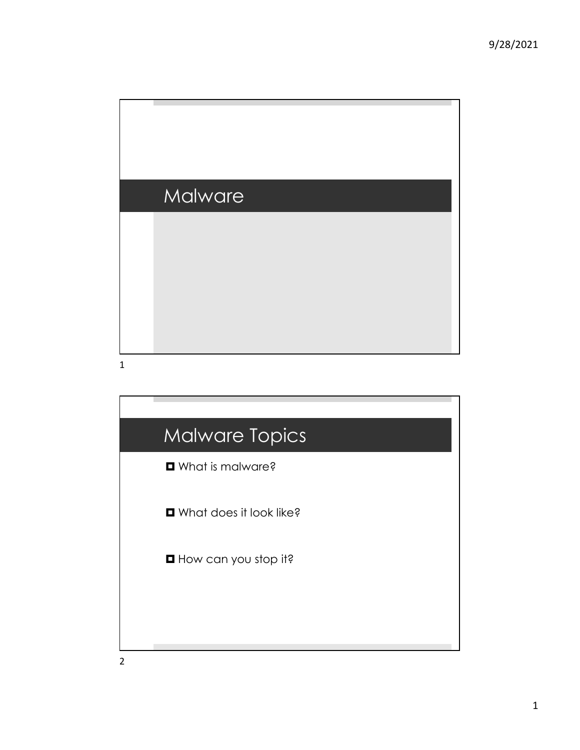

## Malware Topics  $\square$  What is malware?  $\blacksquare$  What does it look like?  $\blacksquare$  How can you stop it?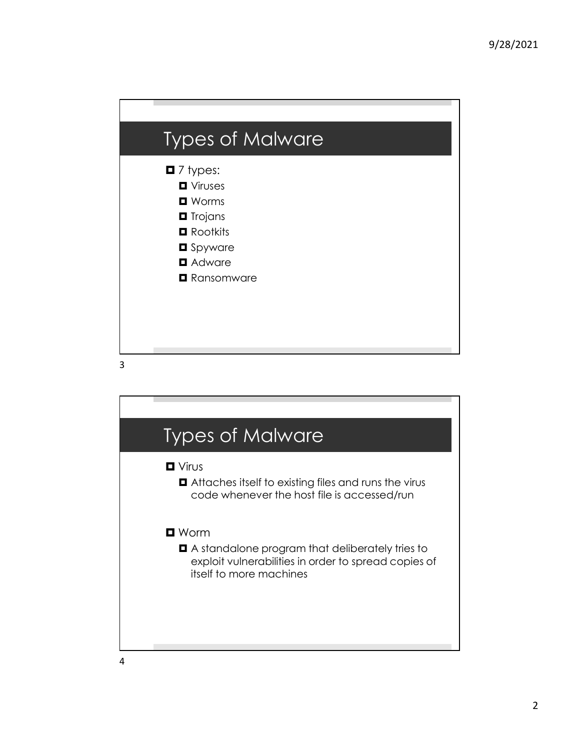| <b>Types of Malware</b>                                                                                                                                                          |
|----------------------------------------------------------------------------------------------------------------------------------------------------------------------------------|
| $\blacksquare$ 7 types:<br><b>D</b> Viruses<br>$\blacksquare$ Worms<br><b>O</b> Trojans<br>$\blacksquare$ Rootkits<br><b>O</b> Spyware<br><b>D</b> Adware<br><b>Q</b> Ransomware |

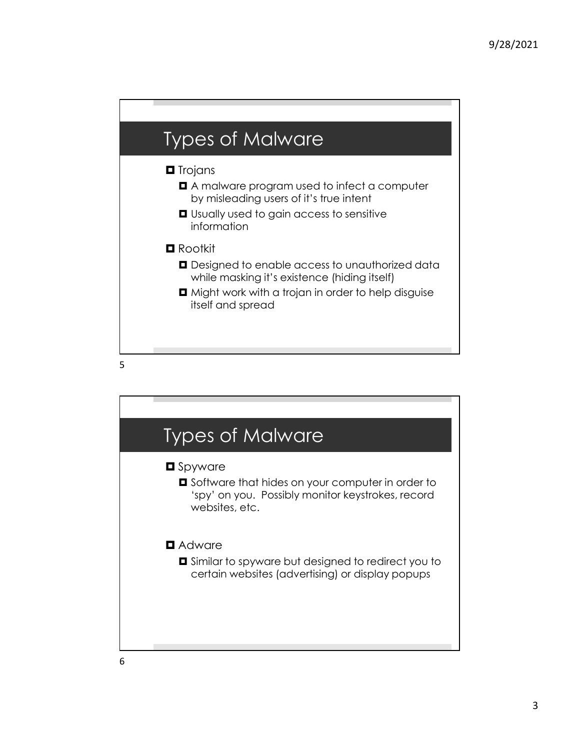

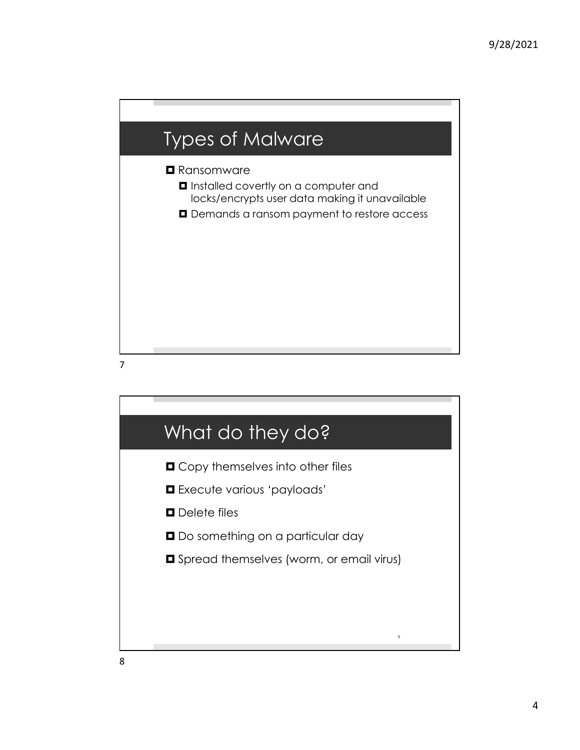

7

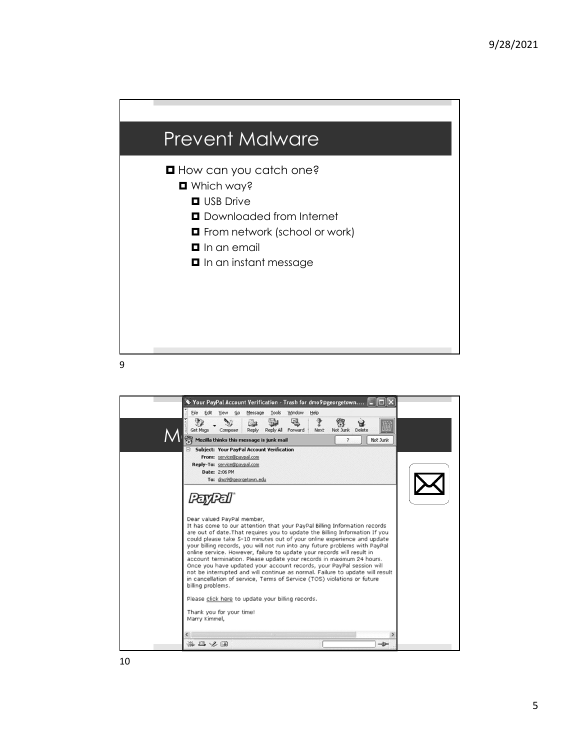



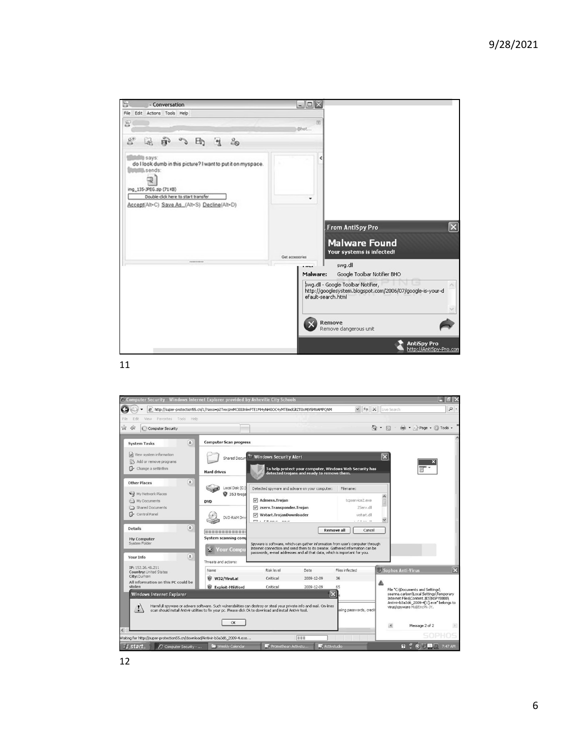

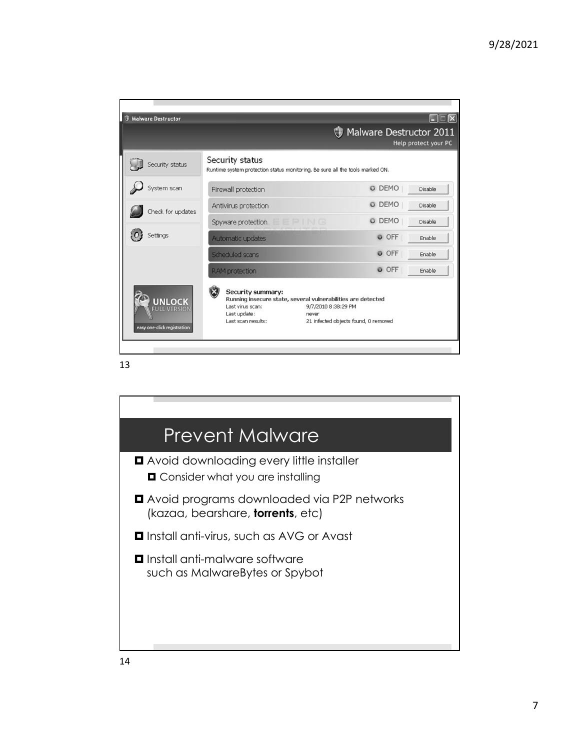